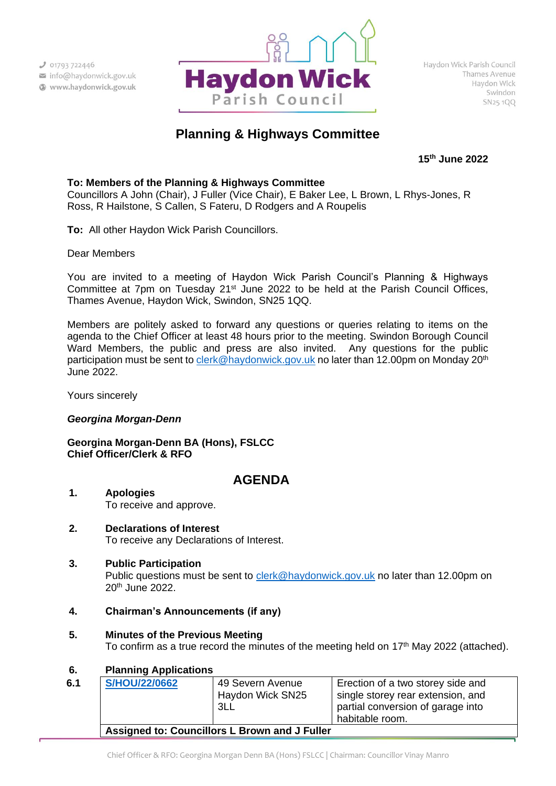

# **Planning & Highways Committee**

**15 th June 2022**

#### **To: Members of the Planning & Highways Committee**

Councillors A John (Chair), J Fuller (Vice Chair), E Baker Lee, L Brown, L Rhys-Jones, R Ross, R Hailstone, S Callen, S Fateru, D Rodgers and A Roupelis

**To:** All other Haydon Wick Parish Councillors.

Dear Members

You are invited to a meeting of Haydon Wick Parish Council's Planning & Highways Committee at 7pm on Tuesday 21<sup>st</sup> June 2022 to be held at the Parish Council Offices, Thames Avenue, Haydon Wick, Swindon, SN25 1QQ.

Members are politely asked to forward any questions or queries relating to items on the agenda to the Chief Officer at least 48 hours prior to the meeting. Swindon Borough Council Ward Members, the public and press are also invited. Any questions for the public participation must be sent to [clerk@haydonwick.gov.uk](mailto:clerk@haydonwick.gov.uk) no later than 12.00pm on Monday 20<sup>th</sup> June 2022.

Yours sincerely

#### *Georgina Morgan-Denn*

**Georgina Morgan-Denn BA (Hons), FSLCC Chief Officer/Clerk & RFO**

## **AGENDA**

- **1. Apologies** To receive and approve.
- **2. Declarations of Interest** To receive any Declarations of Interest.

#### **3. Public Participation**

Public questions must be sent to [clerk@haydonwick.gov.uk](mailto:clerk@haydonwick.gov.uk) no later than 12.00pm on 20th June 2022.

#### **4. Chairman's Announcements (if any)**

**5. Minutes of the Previous Meeting**

To confirm as a true record the minutes of the meeting held on 17<sup>th</sup> May 2022 (attached).

#### **6. Planning Applications**

| 6.1 | <b>S/HOU/22/0662</b>                          | 49 Severn Avenue<br>Haydon Wick SN25<br>3LL | Erection of a two storey side and<br>single storey rear extension, and<br>partial conversion of garage into<br>habitable room. |  |  |
|-----|-----------------------------------------------|---------------------------------------------|--------------------------------------------------------------------------------------------------------------------------------|--|--|
|     | Assigned to: Councillors L Brown and J Fuller |                                             |                                                                                                                                |  |  |